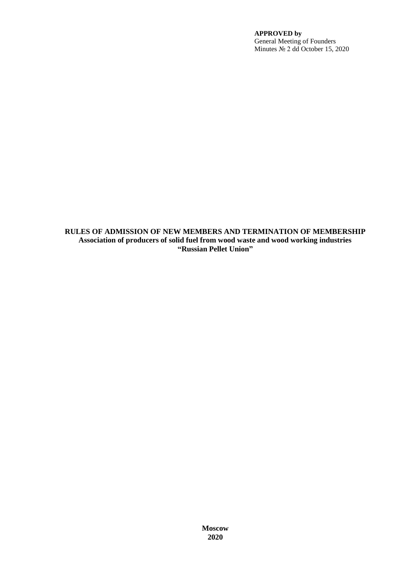**RULES OF ADMISSION OF NEW MEMBERS AND TERMINATION OF MEMBERSHIP Association of producers of solid fuel from wood waste and wood working industries "Russian Pellet Union"**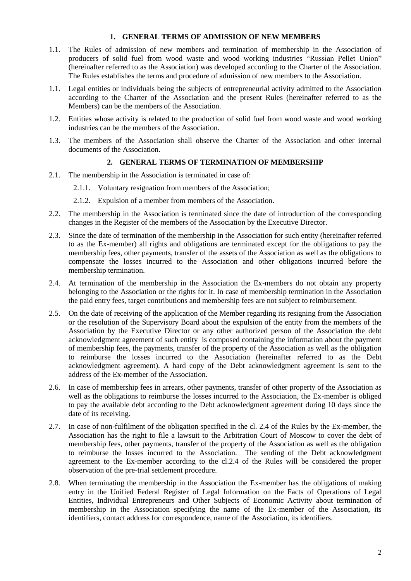## **1. GENERAL TERMS OF ADMISSION OF NEW MEMBERS**

- 1.1. The Rules of admission of new members and termination of membership in the Association of producers of solid fuel from wood waste and wood working industries "Russian Pellet Union" (hereinafter referred to as the Association) was developed according to the Charter of the Association. The Rules establishes the terms and procedure of admission of new members to the Association.
- 1.1. Legal entities or individuals being the subjects of entrepreneurial activity admitted to the Association according to the Charter of the Association and the present Rules (hereinafter referred to as the Members) can be the members of the Association.
- 1.2. Entities whose activity is related to the production of solid fuel from wood waste and wood working industries can be the members of the Association.
- 1.3. The members of the Association shall observe the Charter of the Association and other internal documents of the Association.

# **2. GENERAL TERMS OF TERMINATION OF MEMBERSHIP**

- 2.1. The membership in the Association is terminated in case of:
	- 2.1.1. Voluntary resignation from members of the Association;
	- 2.1.2. Expulsion of a member from members of the Association.
- 2.2. The membership in the Association is terminated since the date of introduction of the corresponding changes in the Register of the members of the Association by the Executive Director.
- 2.3. Since the date of termination of the membership in the Association for such entity (hereinafter referred to as the Ex-member) all rights and obligations are terminated except for the obligations to pay the membership fees, other payments, transfer of the assets of the Association as well as the obligations to compensate the losses incurred to the Association and other obligations incurred before the membership termination.
- 2.4. At termination of the membership in the Association the Ex-members do not obtain any property belonging to the Association or the rights for it. In case of membership termination in the Association the paid entry fees, target contributions and membership fees are not subject to reimbursement.
- 2.5. On the date of receiving of the application of the Member regarding its resigning from the Association or the resolution of the Supervisory Board about the expulsion of the entity from the members of the Association by the Executive Director or any other authorized person of the Association the debt acknowledgment agreement of such entity is composed containing the information about the payment of membership fees, the payments, transfer of the property of the Association as well as the obligation to reimburse the losses incurred to the Association (hereinafter referred to as the Debt acknowledgment agreement). A hard copy of the Debt acknowledgment agreement is sent to the address of the Ex-member of the Association.
- 2.6. In case of membership fees in arrears, other payments, transfer of other property of the Association as well as the obligations to reimburse the losses incurred to the Association, the Ex-member is obliged to pay the available debt according to the Debt acknowledgment agreement during 10 days since the date of its receiving.
- 2.7. In case of non-fulfilment of the obligation specified in the cl. 2.4 of the Rules by the Ex-member, the Association has the right to file a lawsuit to the Arbitration Court of Moscow to cover the debt of membership fees, other payments, transfer of the property of the Association as well as the obligation to reimburse the losses incurred to the Association. The sending of the Debt acknowledgment agreement to the Ex-member according to the cl.2.4 of the Rules will be considered the proper observation of the pre-trial settlement procedure.
- 2.8. When terminating the membership in the Association the Ex-member has the obligations of making entry in the Unified Federal Register of Legal Information on the Facts of Operations of Legal Entities, Individual Entrepreneurs and Other Subjects of Economic Activity about termination of membership in the Association specifying the name of the Ex-member of the Association, its identifiers, contact address for correspondence, name of the Association, its identifiers.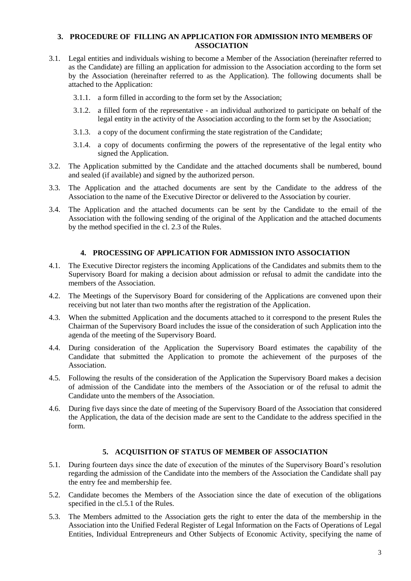#### **3. PROCEDURE OF FILLING AN APPLICATION FOR ADMISSION INTO MEMBERS OF ASSOCIATION**

- 3.1. Legal entities and individuals wishing to become a Member of the Association (hereinafter referred to as the Candidate) are filling an application for admission to the Association according to the form set by the Association (hereinafter referred to as the Application). The following documents shall be attached to the Application:
	- 3.1.1. a form filled in according to the form set by the Association;
	- 3.1.2. a filled form of the representative an individual authorized to participate on behalf of the legal entity in the activity of the Association according to the form set by the Association;
	- 3.1.3. a copy of the document confirming the state registration of the Candidate;
	- 3.1.4. a copy of documents confirming the powers of the representative of the legal entity who signed the Application.
- 3.2. The Application submitted by the Candidate and the attached documents shall be numbered, bound and sealed (if available) and signed by the authorized person.
- 3.3. The Application and the attached documents are sent by the Candidate to the address of the Association to the name of the Executive Director or delivered to the Association by courier.
- 3.4. The Application and the attached documents can be sent by the Candidate to the email of the Association with the following sending of the original of the Application and the attached documents by the method specified in the cl. 2.3 of the Rules.

#### **4. PROCESSING OF APPLICATION FOR ADMISSION INTO ASSOCIATION**

- 4.1. The Executive Director registers the incoming Applications of the Candidates and submits them to the Supervisory Board for making a decision about admission or refusal to admit the candidate into the members of the Association.
- 4.2. The Meetings of the Supervisory Board for considering of the Applications are convened upon their receiving but not later than two months after the registration of the Application.
- 4.3. When the submitted Application and the documents attached to it correspond to the present Rules the Chairman of the Supervisory Board includes the issue of the consideration of such Application into the agenda of the meeting of the Supervisory Board.
- 4.4. During consideration of the Application the Supervisory Board estimates the capability of the Candidate that submitted the Application to promote the achievement of the purposes of the Association.
- 4.5. Following the results of the consideration of the Application the Supervisory Board makes a decision of admission of the Candidate into the members of the Association or of the refusal to admit the Candidate unto the members of the Association.
- 4.6. During five days since the date of meeting of the Supervisory Board of the Association that considered the Application, the data of the decision made are sent to the Candidate to the address specified in the form.

#### **5. ACQUISITION OF STATUS OF MEMBER OF ASSOCIATION**

- 5.1. During fourteen days since the date of execution of the minutes of the Supervisory Board's resolution regarding the admission of the Candidate into the members of the Association the Candidate shall pay the entry fee and membership fee.
- 5.2. Candidate becomes the Members of the Association since the date of execution of the obligations specified in the cl.5.1 of the Rules.
- 5.3. The Members admitted to the Association gets the right to enter the data of the membership in the Association into the Unified Federal Register of Legal Information on the Facts of Operations of Legal Entities, Individual Entrepreneurs and Other Subjects of Economic Activity, specifying the name of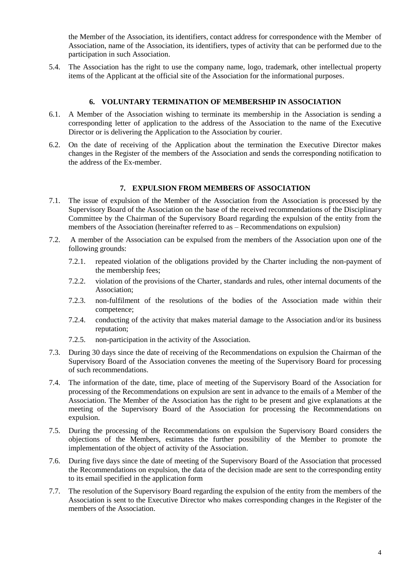the Member of the Association, its identifiers, contact address for correspondence with the Member of Association, name of the Association, its identifiers, types of activity that can be performed due to the participation in such Association.

5.4. The Association has the right to use the company name, logo, trademark, other intellectual property items of the Applicant at the official site of the Association for the informational purposes.

## **6. VOLUNTARY TERMINATION OF MEMBERSHIP IN ASSOCIATION**

- 6.1. A Member of the Association wishing to terminate its membership in the Association is sending a corresponding letter of application to the address of the Association to the name of the Executive Director or is delivering the Application to the Association by courier.
- 6.2. On the date of receiving of the Application about the termination the Executive Director makes changes in the Register of the members of the Association and sends the corresponding notification to the address of the Ex-member.

## **7. EXPULSION FROM MEMBERS OF ASSOCIATION**

- 7.1. The issue of expulsion of the Member of the Association from the Association is processed by the Supervisory Board of the Association on the base of the received recommendations of the Disciplinary Committee by the Chairman of the Supervisory Board regarding the expulsion of the entity from the members of the Association (hereinafter referred to as – Recommendations on expulsion)
- 7.2. A member of the Association can be expulsed from the members of the Association upon one of the following grounds:
	- 7.2.1. repeated violation of the obligations provided by the Charter including the non-payment of the membership fees;
	- 7.2.2. violation of the provisions of the Charter, standards and rules, other internal documents of the Association;
	- 7.2.3. non-fulfilment of the resolutions of the bodies of the Association made within their competence;
	- 7.2.4. conducting of the activity that makes material damage to the Association and/or its business reputation;
	- 7.2.5. non-participation in the activity of the Association.
- 7.3. During 30 days since the date of receiving of the Recommendations on expulsion the Chairman of the Supervisory Board of the Association convenes the meeting of the Supervisory Board for processing of such recommendations.
- 7.4. The information of the date, time, place of meeting of the Supervisory Board of the Association for processing of the Recommendations on expulsion are sent in advance to the emails of a Member of the Association. The Member of the Association has the right to be present and give explanations at the meeting of the Supervisory Board of the Association for processing the Recommendations on expulsion.
- 7.5. During the processing of the Recommendations on expulsion the Supervisory Board considers the objections of the Members, estimates the further possibility of the Member to promote the implementation of the object of activity of the Association.
- 7.6. During five days since the date of meeting of the Supervisory Board of the Association that processed the Recommendations on expulsion, the data of the decision made are sent to the corresponding entity to its email specified in the application form
- 7.7. The resolution of the Supervisory Board regarding the expulsion of the entity from the members of the Association is sent to the Executive Director who makes corresponding changes in the Register of the members of the Association.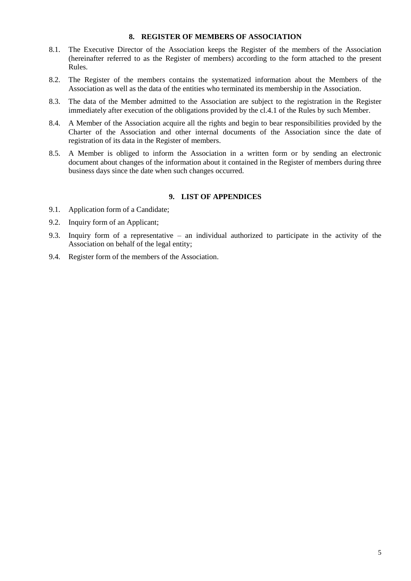#### **8. REGISTER OF MEMBERS OF ASSOCIATION**

- 8.1. The Executive Director of the Association keeps the Register of the members of the Association (hereinafter referred to as the Register of members) according to the form attached to the present Rules.
- 8.2. The Register of the members contains the systematized information about the Members of the Association as well as the data of the entities who terminated its membership in the Association.
- 8.3. The data of the Member admitted to the Association are subject to the registration in the Register immediately after execution of the obligations provided by the cl.4.1 of the Rules by such Member.
- 8.4. A Member of the Association acquire all the rights and begin to bear responsibilities provided by the Charter of the Association and other internal documents of the Association since the date of registration of its data in the Register of members.
- 8.5. A Member is obliged to inform the Association in a written form or by sending an electronic document about changes of the information about it contained in the Register of members during three business days since the date when such changes occurred.

# **9. LIST OF APPENDICES**

- 9.1. Application form of a Candidate;
- 9.2. Inquiry form of an Applicant;
- 9.3. Inquiry form of a representative an individual authorized to participate in the activity of the Association on behalf of the legal entity;
- 9.4. Register form of the members of the Association.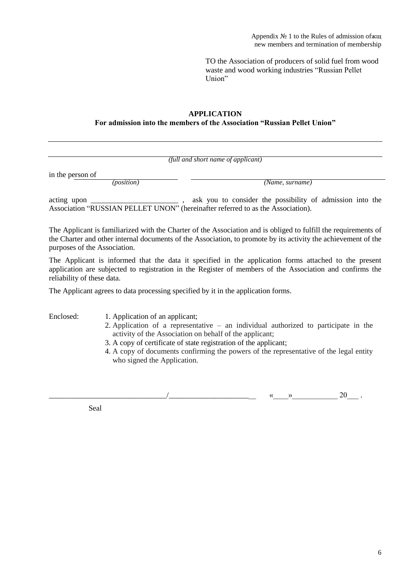TO the Association of producers of solid fuel from wood waste and wood working industries "Russian Pellet Union"

# **APPLICATION For admission into the members of the Association "Russian Pellet Union"**

| (full and short name of applicant)                                                |                                                                                                                                                                                                                                   |  |  |  |  |  |  |
|-----------------------------------------------------------------------------------|-----------------------------------------------------------------------------------------------------------------------------------------------------------------------------------------------------------------------------------|--|--|--|--|--|--|
| in the person of<br><i>(position)</i>                                             | (Name, surname)                                                                                                                                                                                                                   |  |  |  |  |  |  |
|                                                                                   | Association "RUSSIAN PELLET UNON" (hereinafter referred to as the Association).                                                                                                                                                   |  |  |  |  |  |  |
| purposes of the Association.                                                      | The Applicant is familiarized with the Charter of the Association and is obliged to fulfill the requirements of<br>the Charter and other internal documents of the Association, to promote by its activity the achievement of the |  |  |  |  |  |  |
| reliability of these data.                                                        | The Applicant is informed that the data it specified in the application forms attached to the present<br>application are subjected to registration in the Register of members of the Association and confirms the                 |  |  |  |  |  |  |
| The Applicant agrees to data processing specified by it in the application forms. |                                                                                                                                                                                                                                   |  |  |  |  |  |  |

Enclosed: 1. Application of an applicant;

- 2. Application of a representative an individual authorized to participate in the activity of the Association on behalf of the applicant;
- 3. A copy of certificate of state registration of the applicant;
- 4. A copy of documents confirming the powers of the representative of the legal entity who signed the Application.

 $\frac{a_{\ell_1} \cdot a_{\ell_2} \cdot a_{\ell_3} \cdot a_{\ell_4} \cdot a_{\ell_5} \cdot a_{\ell_6} \cdot a_{\ell_7} \cdot a_{\ell_7} \cdot a_{\ell_7} \cdot a_{\ell_7} \cdot a_{\ell_7} \cdot a_{\ell_7} \cdot a_{\ell_7} \cdot a_{\ell_7} \cdot a_{\ell_7} \cdot a_{\ell_7} \cdot a_{\ell_7} \cdot a_{\ell_7} \cdot a_{\ell_7} \cdot a_{\ell_7} \cdot a_{\ell_7} \cdot a_{\ell_7} \cdot a_{\ell_7} \cdot a_{\ell_7} \cdot a$ 

Seal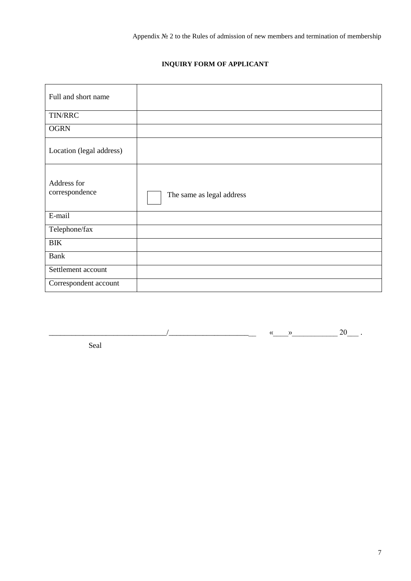# **INQUIRY FORM OF APPLICANT**

| Full and short name           |                           |
|-------------------------------|---------------------------|
| TIN/RRC                       |                           |
| <b>OGRN</b>                   |                           |
| Location (legal address)      |                           |
| Address for<br>correspondence | The same as legal address |
| E-mail                        |                           |
| Telephone/fax                 |                           |
| <b>BIK</b>                    |                           |
| <b>Bank</b>                   |                           |
| Settlement account            |                           |
| Correspondent account         |                           |

\_\_\_\_\_\_\_\_\_\_\_\_\_\_\_\_\_\_\_\_\_\_\_\_\_\_\_\_\_\_\_/\_\_\_\_\_\_\_\_\_\_\_\_\_\_\_\_\_\_\_\_\_\_\_ «\_\_\_\_»\_\_\_\_\_\_\_\_\_\_\_\_ 20\_\_\_ .

Seal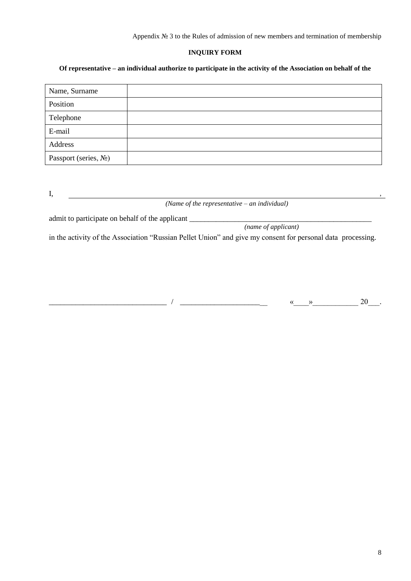Appendix № 3 to the Rules of admission of new members and termination of membership

# **INQUIRY FORM**

## **Of representative – an individual authorize to participate in the activity of the Association on behalf of the**

| Name, Surname             |  |
|---------------------------|--|
| Position                  |  |
| Telephone                 |  |
| E-mail                    |  |
| Address                   |  |
| Passport (series, $N_2$ ) |  |

 $I,$ 

*(Name of the representative – an individual)*

admit to participate on behalf of the applicant \_\_\_\_\_\_\_\_\_\_\_\_\_\_\_\_\_\_\_\_\_\_\_\_\_\_\_\_\_\_\_\_\_\_\_\_\_\_\_\_\_\_\_\_\_\_\_\_

*(name of applicant)*

in the activity of the Association "Russian Pellet Union" and give my consent for personal data processing.

 $\overline{\phantom{a}0}$  /  $\overline{\phantom{a}0}$  , which are  $\overline{\phantom{a}0}$  .